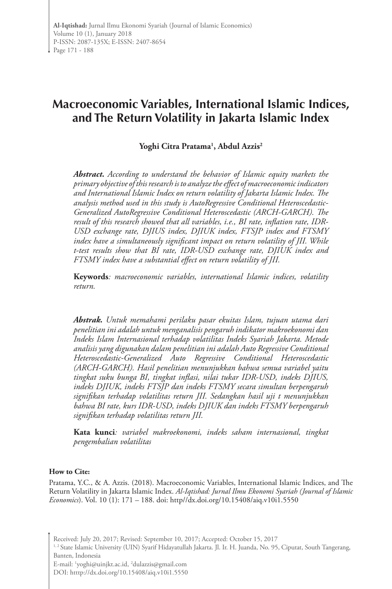# **Macroeconomic Variables, International Islamic Indices, and The Return Volatility in Jakarta Islamic Index**

# **Yoghi Citra Pratama1 , Abdul Azzis2**

*Abstract. According to understand the behavior of Islamic equity markets the primary objective of this research is to analyze the effect of macroeconomic indicators and International Islamic Index on return volatility of Jakarta Islamic Index. The analysis method used in this study is AutoRegressive Conditional Heteroscedastic-Generalized AutoRegressive Conditional Heteroscedastic (ARCH-GARCH). The result of this research showed that all variables, i.e., BI rate, inflation rate, IDR-USD exchange rate, DJIUS index, DJIUK index, FTSJP index and FTSMY index have a simultaneously significant impact on return volatility of JII. While t-test results show that BI rate, IDR-USD exchange rate, DJIUK index and FTSMY index have a substantial effect on return volatility of JII.*

**Keywords***: macroeconomic variables, international Islamic indices, volatility return.*

*Abstrak. Untuk memahami perilaku pasar ekuitas Islam, tujuan utama dari penelitian ini adalah untuk menganalisis pengaruh indikator makroekonomi dan Indeks Islam Internasional terhadap volatilitas Indeks Syariah Jakarta. Metode analisis yang digunakan dalam penelitian ini adalah Auto Regressive Conditional Heteroscedastic-Generalized Auto Regressive Conditional Heteroscedastic (ARCH-GARCH). Hasil penelitian menunjukkan bahwa semua variabel yaitu tingkat suku bunga BI, tingkat inflasi, nilai tukar IDR-USD, indeks DJIUS, indeks DJIUK, indeks FTSJP dan indeks FTSMY secara simultan berpengaruh signifikan terhadap volatilitas return JII. Sedangkan hasil uji t menunjukkan bahwa BI rate, kurs IDR-USD, indeks DJIUK dan indeks FTSMY berpengaruh signifikan terhadap volatilitas return JII.*

**Kata kunci***: variabel makroekonomi, indeks saham internasional, tingkat pengembalian volatilitas*

#### **How to Cite:**

Pratama, Y.C., & A. Azzis. (2018). Macroeconomic Variables, International Islamic Indices, and The Return Volatility in Jakarta Islamic Index. *Al-Iqtishad: Jurnal Ilmu Ekonomi Syariah (Journal of Islamic Economics*). Vol. 10 (1): 171 – 188. doi: http//dx.doi.org/10.15408/aiq.v10i1.5550

Received: July 20, 2017; Revised: September 10, 2017; Accepted: October 15, 2017

<sup>1,2</sup> State Islamic University (UIN) Syarif Hidayatullah Jakarta. Jl. Ir. H. Juanda, No. 95, Ciputat, South Tangerang, Banten, Indonesia

E-mail: 1 yoghi@uinjkt.ac.id, 2 dulazzis@gmail.com

DOI: htttp://dx.doi.org/10.15408/aiq.v10i1.5550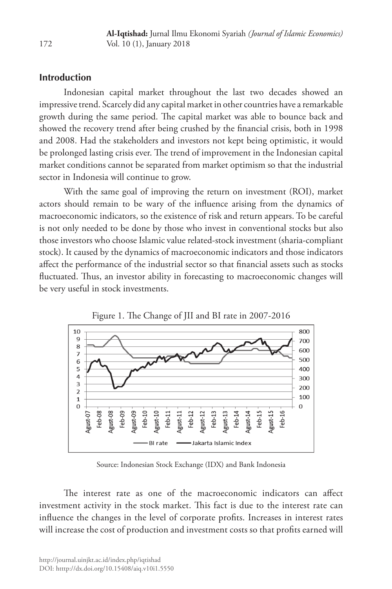# **Introduction**

Indonesian capital market throughout the last two decades showed an impressive trend. Scarcely did any capital market in other countries have a remarkable growth during the same period. The capital market was able to bounce back and showed the recovery trend after being crushed by the financial crisis, both in 1998 and 2008. Had the stakeholders and investors not kept being optimistic, it would be prolonged lasting crisis ever. The trend of improvement in the Indonesian capital market conditions cannot be separated from market optimism so that the industrial sector in Indonesia will continue to grow.

With the same goal of improving the return on investment (ROI), market actors should remain to be wary of the influence arising from the dynamics of macroeconomic indicators, so the existence of risk and return appears. To be careful is not only needed to be done by those who invest in conventional stocks but also those investors who choose Islamic value related-stock investment (sharia-compliant stock). It caused by the dynamics of macroeconomic indicators and those indicators affect the performance of the industrial sector so that financial assets such as stocks fluctuated. Thus, an investor ability in forecasting to macroeconomic changes will be very useful in stock investments.





Source: Indonesian Stock Exchange (IDX) and Bank Indonesia

The interest rate as one of the macroeconomic indicators can affect investment activity in the stock market. This fact is due to the interest rate can influence the changes in the level of corporate profits. Increases in interest rates will increase the cost of production and investment costs so that profits earned will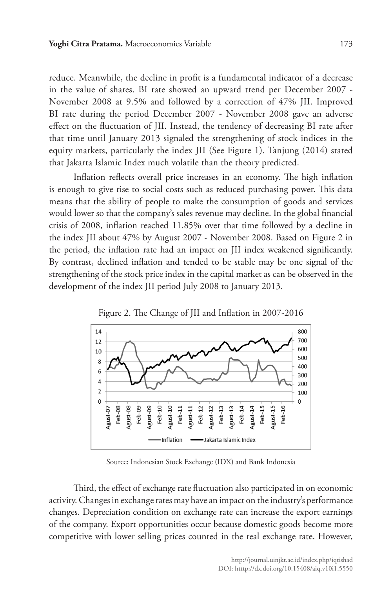reduce. Meanwhile, the decline in profit is a fundamental indicator of a decrease in the value of shares. BI rate showed an upward trend per December 2007 - November 2008 at 9.5% and followed by a correction of 47% JII. Improved BI rate during the period December 2007 - November 2008 gave an adverse effect on the fluctuation of JII. Instead, the tendency of decreasing BI rate after that time until January 2013 signaled the strengthening of stock indices in the equity markets, particularly the index JII (See Figure 1). Tanjung (2014) stated that Jakarta Islamic Index much volatile than the theory predicted.

Inflation reflects overall price increases in an economy. The high inflation is enough to give rise to social costs such as reduced purchasing power. This data means that the ability of people to make the consumption of goods and services would lower so that the company's sales revenue may decline. In the global financial crisis of 2008, inflation reached 11.85% over that time followed by a decline in the index JII about 47% by August 2007 - November 2008. Based on Figure 2 in the period, the inflation rate had an impact on JII index weakened significantly. By contrast, declined inflation and tended to be stable may be one signal of the strengthening of the stock price index in the capital market as can be observed in the development of the index JII period July 2008 to January 2013.



Figure 2. The Change of JII and Inflation in 2007-2016

Source: Indonesian Stock Exchange (IDX) and Bank Indonesia

Third, the effect of exchange rate fluctuation also participated in on economic activity. Changes in exchange rates may have an impact on the industry's performance changes. Depreciation condition on exchange rate can increase the export earnings of the company. Export opportunities occur because domestic goods become more competitive with lower selling prices counted in the real exchange rate. However,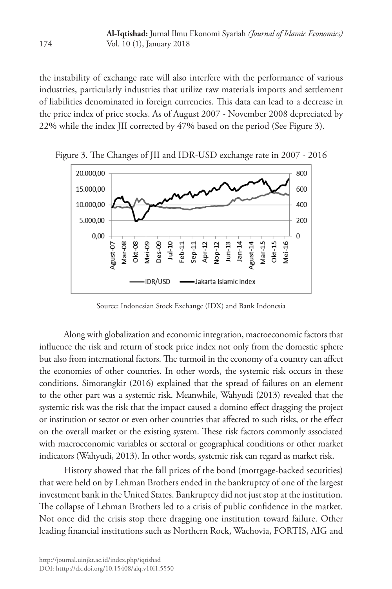the instability of exchange rate will also interfere with the performance of various industries, particularly industries that utilize raw materials imports and settlement of liabilities denominated in foreign currencies. This data can lead to a decrease in the price index of price stocks. As of August 2007 - November 2008 depreciated by 22% while the index JII corrected by 47% based on the period (See Figure 3).



Figure 3. The Changes of JII and IDR-USD exchange rate in 2007 - 2016

Source: Indonesian Stock Exchange (IDX) and Bank Indonesia

Along with globalization and economic integration, macroeconomic factors that influence the risk and return of stock price index not only from the domestic sphere but also from international factors. The turmoil in the economy of a country can affect the economies of other countries. In other words, the systemic risk occurs in these conditions. Simorangkir (2016) explained that the spread of failures on an element to the other part was a systemic risk. Meanwhile, Wahyudi (2013) revealed that the systemic risk was the risk that the impact caused a domino effect dragging the project or institution or sector or even other countries that affected to such risks, or the effect on the overall market or the existing system. These risk factors commonly associated with macroeconomic variables or sectoral or geographical conditions or other market indicators (Wahyudi, 2013). In other words, systemic risk can regard as market risk.

History showed that the fall prices of the bond (mortgage-backed securities) that were held on by Lehman Brothers ended in the bankruptcy of one of the largest investment bank in the United States. Bankruptcy did not just stop at the institution. The collapse of Lehman Brothers led to a crisis of public confidence in the market. Not once did the crisis stop there dragging one institution toward failure. Other leading financial institutions such as Northern Rock, Wachovia, FORTIS, AIG and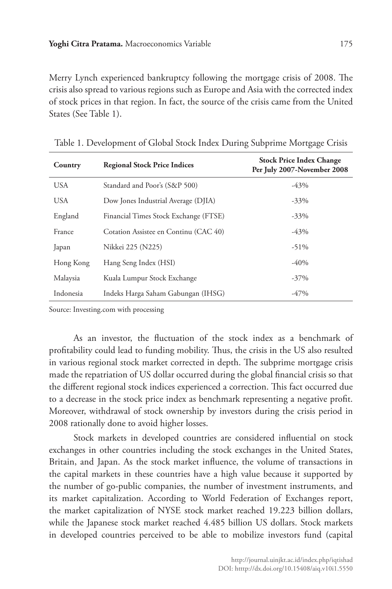Merry Lynch experienced bankruptcy following the mortgage crisis of 2008. The crisis also spread to various regions such as Europe and Asia with the corrected index of stock prices in that region. In fact, the source of the crisis came from the United States (See Table 1).

| Country    | <b>Regional Stock Price Indices</b>   | <b>Stock Price Index Change</b><br>Per July 2007-November 2008 |
|------------|---------------------------------------|----------------------------------------------------------------|
| <b>USA</b> | Standard and Poor's (S&P 500)         | $-43%$                                                         |
| <b>USA</b> | Dow Jones Industrial Average (DJIA)   | $-33\%$                                                        |
| England    | Financial Times Stock Exchange (FTSE) | $-33\%$                                                        |
| France     | Cotation Assistee en Continu (CAC 40) | $-43%$                                                         |
| Japan      | Nikkei 225 (N225)                     | $-51\%$                                                        |
| Hong Kong  | Hang Seng Index (HSI)                 | $-40%$                                                         |
| Malaysia   | Kuala Lumpur Stock Exchange           | $-37\%$                                                        |
| Indonesia  | Indeks Harga Saham Gabungan (IHSG)    | $-47%$                                                         |

Table 1. Development of Global Stock Index During Subprime Mortgage Crisis

Source: Investing.com with processing

As an investor, the fluctuation of the stock index as a benchmark of profitability could lead to funding mobility. Thus, the crisis in the US also resulted in various regional stock market corrected in depth. The subprime mortgage crisis made the repatriation of US dollar occurred during the global financial crisis so that the different regional stock indices experienced a correction. This fact occurred due to a decrease in the stock price index as benchmark representing a negative profit. Moreover, withdrawal of stock ownership by investors during the crisis period in 2008 rationally done to avoid higher losses.

Stock markets in developed countries are considered influential on stock exchanges in other countries including the stock exchanges in the United States, Britain, and Japan. As the stock market influence, the volume of transactions in the capital markets in these countries have a high value because it supported by the number of go-public companies, the number of investment instruments, and its market capitalization. According to World Federation of Exchanges report, the market capitalization of NYSE stock market reached 19.223 billion dollars, while the Japanese stock market reached 4.485 billion US dollars. Stock markets in developed countries perceived to be able to mobilize investors fund (capital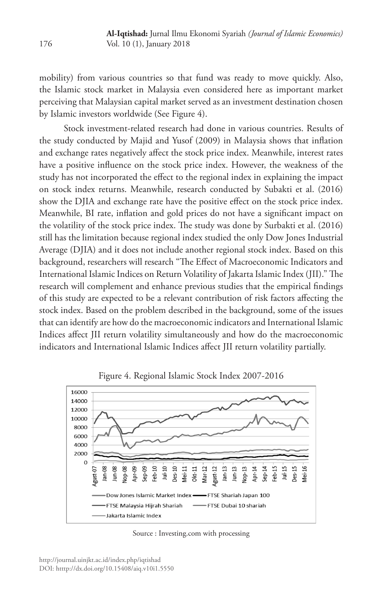mobility) from various countries so that fund was ready to move quickly. Also, the Islamic stock market in Malaysia even considered here as important market perceiving that Malaysian capital market served as an investment destination chosen by Islamic investors worldwide (See Figure 4).

Stock investment-related research had done in various countries. Results of the study conducted by Majid and Yusof (2009) in Malaysia shows that inflation and exchange rates negatively affect the stock price index. Meanwhile, interest rates have a positive influence on the stock price index. However, the weakness of the study has not incorporated the effect to the regional index in explaining the impact on stock index returns. Meanwhile, research conducted by Subakti et al. (2016) show the DJIA and exchange rate have the positive effect on the stock price index. Meanwhile, BI rate, inflation and gold prices do not have a significant impact on the volatility of the stock price index. The study was done by Surbakti et al. (2016) still has the limitation because regional index studied the only Dow Jones Industrial Average (DJIA) and it does not include another regional stock index. Based on this background, researchers will research "The Effect of Macroeconomic Indicators and International Islamic Indices on Return Volatility of Jakarta Islamic Index (JII)." The research will complement and enhance previous studies that the empirical findings of this study are expected to be a relevant contribution of risk factors affecting the stock index. Based on the problem described in the background, some of the issues that can identify are how do the macroeconomic indicators and International Islamic Indices affect JII return volatility simultaneously and how do the macroeconomic indicators and International Islamic Indices affect JII return volatility partially.



Figure 4. Regional Islamic Stock Index 2007-2016

Source : Investing.com with processing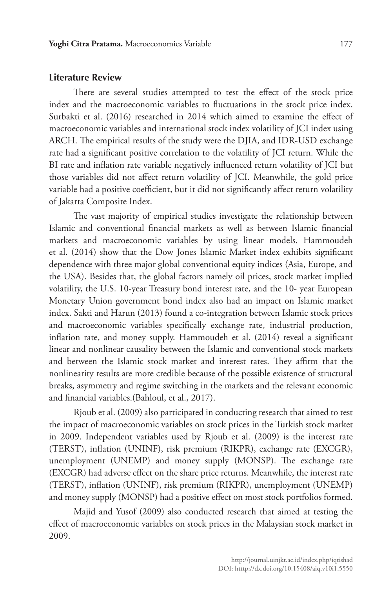#### **Literature Review**

There are several studies attempted to test the effect of the stock price index and the macroeconomic variables to fluctuations in the stock price index. Surbakti et al. (2016) researched in 2014 which aimed to examine the effect of macroeconomic variables and international stock index volatility of JCI index using ARCH. The empirical results of the study were the DJIA, and IDR-USD exchange rate had a significant positive correlation to the volatility of JCI return. While the BI rate and inflation rate variable negatively influenced return volatility of JCI but those variables did not affect return volatility of JCI. Meanwhile, the gold price variable had a positive coefficient, but it did not significantly affect return volatility of Jakarta Composite Index.

The vast majority of empirical studies investigate the relationship between Islamic and conventional financial markets as well as between Islamic financial markets and macroeconomic variables by using linear models. Hammoudeh et al. (2014) show that the Dow Jones Islamic Market index exhibits significant dependence with three major global conventional equity indices (Asia, Europe, and the USA). Besides that, the global factors namely oil prices, stock market implied volatility, the U.S. 10-year Treasury bond interest rate, and the 10- year European Monetary Union government bond index also had an impact on Islamic market index. Sakti and Harun (2013) found a co-integration between Islamic stock prices and macroeconomic variables specifically exchange rate, industrial production, inflation rate, and money supply. Hammoudeh et al. (2014) reveal a significant linear and nonlinear causality between the Islamic and conventional stock markets and between the Islamic stock market and interest rates. They affirm that the nonlinearity results are more credible because of the possible existence of structural breaks, asymmetry and regime switching in the markets and the relevant economic and financial variables.(Bahloul, et al., 2017).

Rjoub et al. (2009) also participated in conducting research that aimed to test the impact of macroeconomic variables on stock prices in the Turkish stock market in 2009. Independent variables used by Rjoub et al. (2009) is the interest rate (TERST), inflation (UNINF), risk premium (RIKPR), exchange rate (EXCGR), unemployment (UNEMP) and money supply (MONSP). The exchange rate (EXCGR) had adverse effect on the share price returns. Meanwhile, the interest rate (TERST), inflation (UNINF), risk premium (RIKPR), unemployment (UNEMP) and money supply (MONSP) had a positive effect on most stock portfolios formed.

Majid and Yusof (2009) also conducted research that aimed at testing the effect of macroeconomic variables on stock prices in the Malaysian stock market in 2009.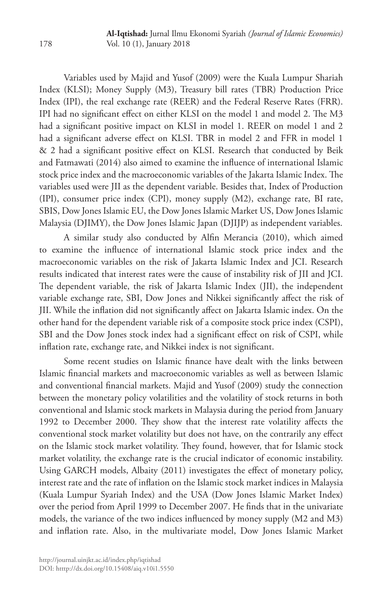Variables used by Majid and Yusof (2009) were the Kuala Lumpur Shariah Index (KLSI); Money Supply (M3), Treasury bill rates (TBR) Production Price Index (IPI), the real exchange rate (REER) and the Federal Reserve Rates (FRR). IPI had no significant effect on either KLSI on the model 1 and model 2. The M3 had a significant positive impact on KLSI in model 1. REER on model 1 and 2 had a significant adverse effect on KLSI. TBR in model 2 and FFR in model 1 & 2 had a significant positive effect on KLSI. Research that conducted by Beik and Fatmawati (2014) also aimed to examine the influence of international Islamic stock price index and the macroeconomic variables of the Jakarta Islamic Index. The variables used were JII as the dependent variable. Besides that, Index of Production (IPI), consumer price index (CPI), money supply (M2), exchange rate, BI rate, SBIS, Dow Jones Islamic EU, the Dow Jones Islamic Market US, Dow Jones Islamic Malaysia (DJIMY), the Dow Jones Islamic Japan (DJIJP) as independent variables.

A similar study also conducted by Alfin Merancia (2010), which aimed to examine the influence of international Islamic stock price index and the macroeconomic variables on the risk of Jakarta Islamic Index and JCI. Research results indicated that interest rates were the cause of instability risk of JII and JCI. The dependent variable, the risk of Jakarta Islamic Index (JII), the independent variable exchange rate, SBI, Dow Jones and Nikkei significantly affect the risk of JII. While the inflation did not significantly affect on Jakarta Islamic index. On the other hand for the dependent variable risk of a composite stock price index (CSPI), SBI and the Dow Jones stock index had a significant effect on risk of CSPI, while inflation rate, exchange rate, and Nikkei index is not significant.

Some recent studies on Islamic finance have dealt with the links between Islamic financial markets and macroeconomic variables as well as between Islamic and conventional financial markets. Majid and Yusof (2009) study the connection between the monetary policy volatilities and the volatility of stock returns in both conventional and Islamic stock markets in Malaysia during the period from January 1992 to December 2000. They show that the interest rate volatility affects the conventional stock market volatility but does not have, on the contrarily any effect on the Islamic stock market volatility. They found, however, that for Islamic stock market volatility, the exchange rate is the crucial indicator of economic instability. Using GARCH models, Albaity (2011) investigates the effect of monetary policy, interest rate and the rate of inflation on the Islamic stock market indices in Malaysia (Kuala Lumpur Syariah Index) and the USA (Dow Jones Islamic Market Index) over the period from April 1999 to December 2007. He finds that in the univariate models, the variance of the two indices influenced by money supply (M2 and M3) and inflation rate. Also, in the multivariate model, Dow Jones Islamic Market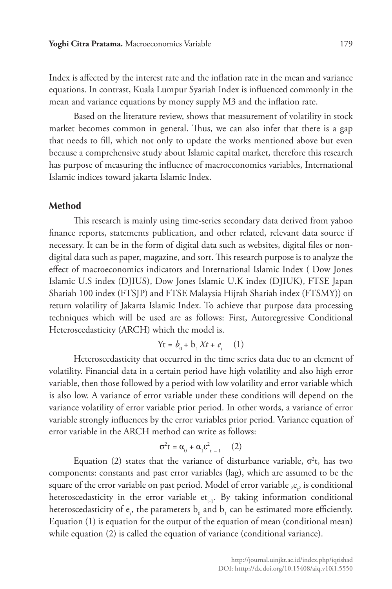Index is affected by the interest rate and the inflation rate in the mean and variance equations. In contrast, Kuala Lumpur Syariah Index is influenced commonly in the mean and variance equations by money supply M3 and the inflation rate.

Based on the literature review, shows that measurement of volatility in stock market becomes common in general. Thus, we can also infer that there is a gap that needs to fill, which not only to update the works mentioned above but even because a comprehensive study about Islamic capital market, therefore this research has purpose of measuring the influence of macroeconomics variables, International Islamic indices toward jakarta Islamic Index.

# **Method**

This research is mainly using time-series secondary data derived from yahoo finance reports, statements publication, and other related, relevant data source if necessary. It can be in the form of digital data such as websites, digital files or nondigital data such as paper, magazine, and sort. This research purpose is to analyze the effect of macroeconomics indicators and International Islamic Index ( Dow Jones Islamic U.S index (DJIUS), Dow Jones Islamic U.K index (DJIUK), FTSE Japan Shariah 100 index (FTSJP) and FTSE Malaysia Hijrah Shariah index (FTSMY)) on return volatility of Jakarta Islamic Index. To achieve that purpose data processing techniques which will be used are as follows: First, Autoregressive Conditional Heteroscedasticity (ARCH) which the model is.

$$
Yt = b_0 + b_1 Xt + e_t \quad (1)
$$

Heteroscedasticity that occurred in the time series data due to an element of volatility. Financial data in a certain period have high volatility and also high error variable, then those followed by a period with low volatility and error variable which is also low. A variance of error variable under these conditions will depend on the variance volatility of error variable prior period. In other words, a variance of error variable strongly influences by the error variables prior period. Variance equation of error variable in the ARCH method can write as follows:

$$
\sigma^2 t = \alpha_0 + \alpha_1 \varepsilon_{t-1}^2 \qquad (2)
$$

Equation (2) states that the variance of disturbance variable,  $\sigma^2 t$ , has two components: constants and past error variables (lag), which are assumed to be the square of the error variable on past period. Model of error variable , ${\mathop{\mathrm{e}}\nolimits}_t$ , is conditional heteroscedasticity in the error variable  $et_{t-1}$ . By taking information conditional heteroscedasticity of  $e_t$ , the parameters  $b_0$  and  $b_1$  can be estimated more efficiently. Equation (1) is equation for the output of the equation of mean (conditional mean) while equation (2) is called the equation of variance (conditional variance).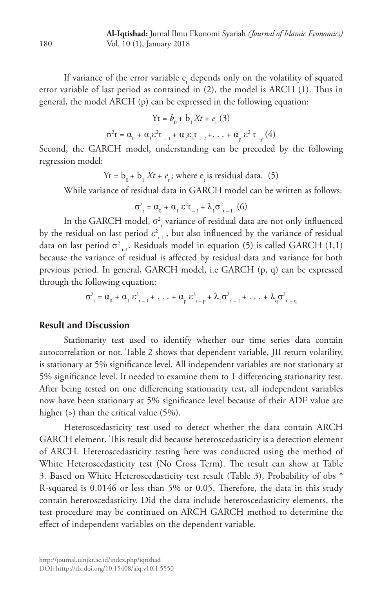If variance of the error variable  $e_{\epsilon}$  depends only on the volatility of squared error variable of last period as contained in (2), the model is ARCH (1). Thus in general, the model ARCH (p) can be expressed in the following equation:

Yt = *b*0 + b1 *Xt* + *e*<sup>t</sup> (3)

 $σ<sup>2</sup>t = α<sub>0</sub> + α<sub>1</sub>ε<sup>2</sup>t<sub>-1</sub> + α<sub>2</sub>ε<sub>2</sub>t<sub>-2</sub> + ... + α<sub>p</sub> ε<sup>2</sup> t<sub>-p</sub> (4)$ Second, the GARCH model, understanding can be preceded by the following

regression model:

 $Yt = b_0 + b_1 Xt + e_t$ ; where  $e_t$  is residual data. (5)

While variance of residual data in GARCH model can be written as follows:

$$
\sigma_{t}^{2} = \alpha_{0} + \alpha_{1} \epsilon^{2} t_{-1} + \lambda_{1} \sigma_{t-1}^{2}
$$
 (6)

In the GARCH model,  $\sigma_{\rm r}^2$  variance of residual data are not only influenced by the residual on last period  $\varepsilon_{t-1}^2$ , but also influenced by the variance of residual data on last period  $\sigma^2$ <sub>t-1</sub>. Residuals model in equation (5) is called GARCH (1,1) because the variance of residual is affected by residual data and variance for both previous period. In general, GARCH model, i.e GARCH (p, q) can be expressed through the following equation:

$$
\sigma_{\tau}^{2} = \alpha_{0} + \alpha_{1} \epsilon_{\tau-1}^{2} + \ldots + \alpha_{p} \epsilon_{\tau-p}^{2} + \lambda_{1} \sigma_{\tau-1}^{2} + \ldots + \lambda_{q} \sigma_{\tau-q}^{2}
$$

### **Result and Discussion**

Stationarity test used to identify whether our time series data contain autocorrelation or not. Table 2 shows that dependent variable, JII return volatility, is stationary at 5% significance level. All independent variables are not stationary at 5% significance level. It needed to examine them to 1 differencing stationarity test. After being tested on one differencing stationarity test, all independent variables now have been stationary at 5% significance level because of their ADF value are higher (>) than the critical value (5%).

Heteroscedasticity test used to detect whether the data contain ARCH GARCH element. This result did because heteroscedasticity is a detection element of ARCH. Heteroscedasticity testing here was conducted using the method of White Heteroscedasticity test (No Cross Term). The result can show at Table 3. Based on White Heteroscedasticity test result (Table 3), Probability of obs \* R-squared is 0.0146 or less than 5% or 0.05. Therefore, the data in this study contain heteroscedasticity. Did the data include heteroscedasticity elements, the test procedure may be continued on ARCH GARCH method to determine the effect of independent variables on the dependent variable.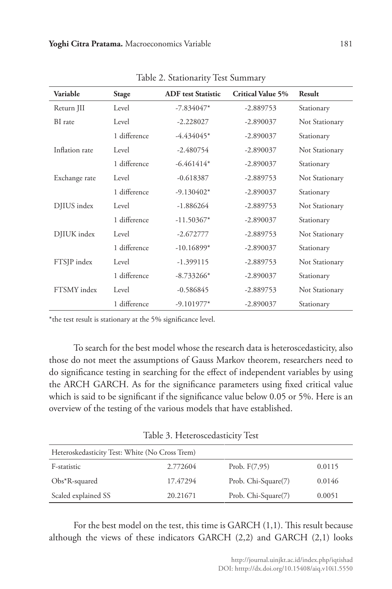| Variable       | <b>Stage</b> | <b>ADF</b> test Statistic | <b>Critical Value 5%</b> | Result         |
|----------------|--------------|---------------------------|--------------------------|----------------|
| Return JII     | Level        | $-7.834047*$              | $-2.889753$              | Stationary     |
| BI rate        | Level        | $-2.228027$               | $-2.890037$              | Not Stationary |
|                | 1 difference | $-4.434045*$              | $-2.890037$              | Stationary     |
| Inflation rate | Level        | $-2.480754$               | $-2.890037$              | Not Stationary |
|                | 1 difference | $-6.461414*$              | $-2.890037$              | Stationary     |
| Exchange rate  | Level        | $-0.618387$               | $-2.889753$              | Not Stationary |
|                | 1 difference | $-9.130402*$              | $-2.890037$              | Stationary     |
| DJIUS index    | Level        | $-1.886264$               | $-2.889753$              | Not Stationary |
|                | 1 difference | $-11.50367*$              | $-2.890037$              | Stationary     |
| DJIUK index    | Level        | $-2.672777$               | $-2.889753$              | Not Stationary |
|                | 1 difference | $-10.16899*$              | $-2.890037$              | Stationary     |
| FTSJP index    | Level        | $-1.399115$               | $-2.889753$              | Not Stationary |
|                | 1 difference | $-8.733266*$              | $-2.890037$              | Stationary     |
| FTSMY index    | Level        | $-0.586845$               | $-2.889753$              | Not Stationary |
|                | 1 difference | $-9.101977*$              | $-2.890037$              | Stationary     |

Table 2. Stationarity Test Summary

\*the test result is stationary at the 5% significance level.

To search for the best model whose the research data is heteroscedasticity, also those do not meet the assumptions of Gauss Markov theorem, researchers need to do significance testing in searching for the effect of independent variables by using the ARCH GARCH. As for the significance parameters using fixed critical value which is said to be significant if the significance value below 0.05 or 5%. Here is an overview of the testing of the various models that have established.

Table 3. Heteroscedasticity Test

| Heteroskedasticity Test: White (No Cross Trem) |          |                     |        |  |
|------------------------------------------------|----------|---------------------|--------|--|
| F-statistic                                    | 2.772604 | Prob. $F(7,95)$     | 0.0115 |  |
| $Obs*R$ -squared                               | 17.47294 | Prob. Chi-Square(7) | 0.0146 |  |
| Scaled explained SS                            | 20.21671 | Prob. Chi-Square(7) | 0.0051 |  |

For the best model on the test, this time is GARCH (1,1). This result because although the views of these indicators GARCH (2,2) and GARCH (2,1) looks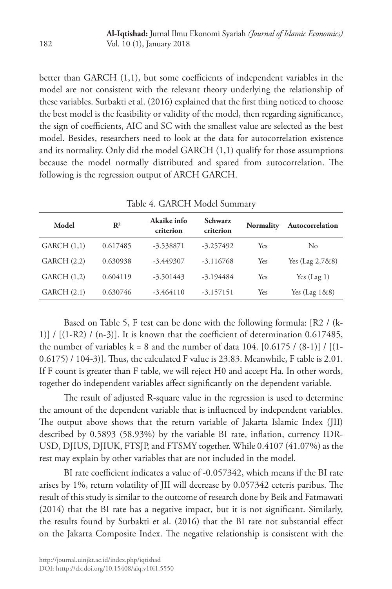better than GARCH (1,1), but some coefficients of independent variables in the model are not consistent with the relevant theory underlying the relationship of these variables. Surbakti et al. (2016) explained that the first thing noticed to choose the best model is the feasibility or validity of the model, then regarding significance, the sign of coefficients, AIC and SC with the smallest value are selected as the best model. Besides, researchers need to look at the data for autocorrelation existence and its normality. Only did the model GARCH (1,1) qualify for those assumptions because the model normally distributed and spared from autocorrelation. The following is the regression output of ARCH GARCH.

| Table 4. GARCTT MODEL SUITHINGLY |                |                          |                      |                  |                   |
|----------------------------------|----------------|--------------------------|----------------------|------------------|-------------------|
| Model                            | $\mathbb{R}^2$ | Akaike info<br>criterion | Schwarz<br>criterion | <b>Normality</b> | Autocorrelation   |
| GARCH(1,1)                       | 0.617485       | $-3.538871$              | $-3.257492$          | Yes              | $\rm No$          |
| GARCH(2,2)                       | 0.630938       | $-3.449307$              | $-3.116768$          | Yes              | Yes $(Lag 2,788)$ |
| GARCH(1,2)                       | 0.604119       | $-3.501443$              | $-3.194484$          | Yes              | Yes $(Lag 1)$     |
| GARCH(2,1)                       | 0.630746       | $-3.464110$              | $-3.157151$          | Yes              | Yes $(Lag 1&88)$  |

Table 4. GARCH Model Summary

Based on Table 5, F test can be done with the following formula: [R2 / (k-1)]  $/$  [(1-R2)  $/$  (n-3)]. It is known that the coefficient of determination 0.617485, the number of variables  $k = 8$  and the number of data 104. [0.6175 / (8-1)] / [(1-0.6175) / 104-3)]. Thus, the calculated F value is 23.83. Meanwhile, F table is 2.01. If F count is greater than F table, we will reject H0 and accept Ha. In other words, together do independent variables affect significantly on the dependent variable.

The result of adjusted R-square value in the regression is used to determine the amount of the dependent variable that is influenced by independent variables. The output above shows that the return variable of Jakarta Islamic Index (JII) described by 0.5893 (58.93%) by the variable BI rate, inflation, currency IDR-USD, DJIUS, DJIUK, FTSJP, and FTSMY together. While 0.4107 (41.07%) as the rest may explain by other variables that are not included in the model.

BI rate coefficient indicates a value of -0.057342, which means if the BI rate arises by 1%, return volatility of JII will decrease by 0.057342 ceteris paribus. The result of this study is similar to the outcome of research done by Beik and Fatmawati (2014) that the BI rate has a negative impact, but it is not significant. Similarly, the results found by Surbakti et al. (2016) that the BI rate not substantial effect on the Jakarta Composite Index. The negative relationship is consistent with the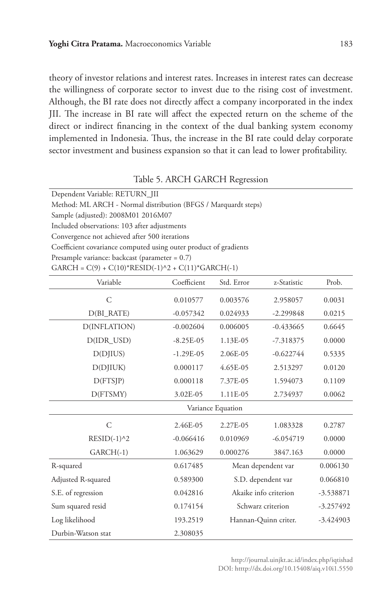theory of investor relations and interest rates. Increases in interest rates can decrease the willingness of corporate sector to invest due to the rising cost of investment. Although, the BI rate does not directly affect a company incorporated in the index JII. The increase in BI rate will affect the expected return on the scheme of the direct or indirect financing in the context of the dual banking system economy implemented in Indonesia. Thus, the increase in the BI rate could delay corporate sector investment and business expansion so that it can lead to lower profitability.

#### Table 5. ARCH GARCH Regression

| Convergence not achieved after 500 iterations                    |  |  |  |  |
|------------------------------------------------------------------|--|--|--|--|
| Coefficient covariance computed using outer product of gradients |  |  |  |  |
| Presample variance: backcast (parameter = $0.7$ )                |  |  |  |  |
| $GARCH = C(9) + C(10)^*RESID(-1)^2 + C(11)^*GARCH(-1)$           |  |  |  |  |
| Prob.<br>z-Statistic                                             |  |  |  |  |
|                                                                  |  |  |  |  |

| Variable           | Coefficient | Std. Error            | z-Statistic | Prob.       |
|--------------------|-------------|-----------------------|-------------|-------------|
| $\mathsf{C}$       | 0.010577    | 0.003576              | 2.958057    | 0.0031      |
| $D(BI_RATE)$       | $-0.057342$ | 0.024933              | $-2.299848$ | 0.0215      |
| D(INFLATION)       | $-0.002604$ | 0.006005              | $-0.433665$ | 0.6645      |
| D(IDR_USD)         | $-8.25E-05$ | 1.13E-05              | $-7.318375$ | 0.0000      |
| D(DJIUS)           | $-1.29E-05$ | 2.06E-05              | $-0.622744$ | 0.5335      |
| D(DJIUK)           | 0.000117    | 4.65E-05              | 2.513297    | 0.0120      |
| D(FTSJP)           | 0.000118    | 7.37E-05              | 1.594073    | 0.1109      |
| D(FTSMY)           | 3.02E-05    | 1.11E-05              | 2.734937    | 0.0062      |
| Variance Equation  |             |                       |             |             |
| $\mathsf C$        | 2.46E-05    | 2.27E-05              | 1.083328    | 0.2787      |
| $RESID(-1)^{2}$    | $-0.066416$ | 0.010969              | $-6.054719$ | 0.0000      |
| $GARCH(-1)$        | 1.063629    | 0.000276              | 3847.163    | 0.0000      |
| R-squared          | 0.617485    | Mean dependent var    |             | 0.006130    |
| Adjusted R-squared | 0.589300    | S.D. dependent var    |             | 0.066810    |
| S.E. of regression | 0.042816    | Akaike info criterion |             | $-3.538871$ |
| Sum squared resid  | 0.174154    | Schwarz criterion     |             | $-3.257492$ |
| Log likelihood     | 193.2519    | Hannan-Quinn criter.  |             | $-3.424903$ |
| Durbin-Watson stat | 2.308035    |                       |             |             |

http://journal.uinjkt.ac.id/index.php/iqtishad DOI: htttp://dx.doi.org/10.15408/aiq.v10i1.5550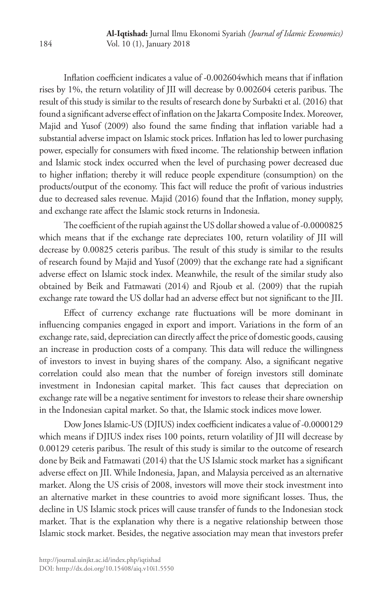Inflation coefficient indicates a value of -0.002604which means that if inflation rises by 1%, the return volatility of JII will decrease by 0.002604 ceteris paribus. The result of this study is similar to the results of research done by Surbakti et al. (2016) that found a significant adverse effect of inflation on the Jakarta Composite Index. Moreover, Majid and Yusof (2009) also found the same finding that inflation variable had a substantial adverse impact on Islamic stock prices. Inflation has led to lower purchasing power, especially for consumers with fixed income. The relationship between inflation and Islamic stock index occurred when the level of purchasing power decreased due to higher inflation; thereby it will reduce people expenditure (consumption) on the products/output of the economy. This fact will reduce the profit of various industries due to decreased sales revenue. Majid (2016) found that the Inflation, money supply, and exchange rate affect the Islamic stock returns in Indonesia.

The coefficient of the rupiah against the US dollar showed a value of -0.0000825 which means that if the exchange rate depreciates 100, return volatility of JII will decrease by 0.00825 ceteris paribus. The result of this study is similar to the results of research found by Majid and Yusof (2009) that the exchange rate had a significant adverse effect on Islamic stock index. Meanwhile, the result of the similar study also obtained by Beik and Fatmawati (2014) and Rjoub et al. (2009) that the rupiah exchange rate toward the US dollar had an adverse effect but not significant to the JII.

Effect of currency exchange rate fluctuations will be more dominant in influencing companies engaged in export and import. Variations in the form of an exchange rate, said, depreciation can directly affect the price of domestic goods, causing an increase in production costs of a company. This data will reduce the willingness of investors to invest in buying shares of the company. Also, a significant negative correlation could also mean that the number of foreign investors still dominate investment in Indonesian capital market. This fact causes that depreciation on exchange rate will be a negative sentiment for investors to release their share ownership in the Indonesian capital market. So that, the Islamic stock indices move lower.

Dow Jones Islamic-US (DJIUS) index coefficient indicates a value of -0.0000129 which means if DJIUS index rises 100 points, return volatility of JII will decrease by 0.00129 ceteris paribus. The result of this study is similar to the outcome of research done by Beik and Fatmawati (2014) that the US Islamic stock market has a significant adverse effect on JII. While Indonesia, Japan, and Malaysia perceived as an alternative market. Along the US crisis of 2008, investors will move their stock investment into an alternative market in these countries to avoid more significant losses. Thus, the decline in US Islamic stock prices will cause transfer of funds to the Indonesian stock market. That is the explanation why there is a negative relationship between those Islamic stock market. Besides, the negative association may mean that investors prefer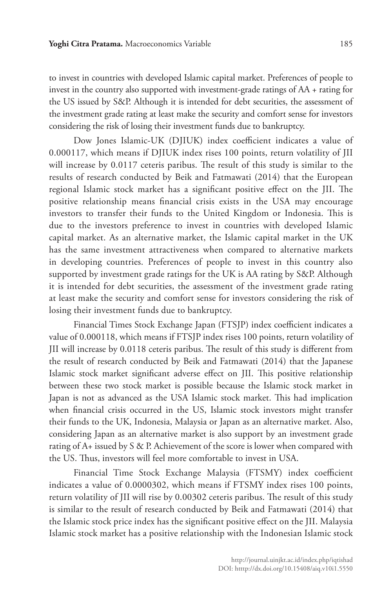to invest in countries with developed Islamic capital market. Preferences of people to invest in the country also supported with investment-grade ratings of AA + rating for the US issued by S&P. Although it is intended for debt securities, the assessment of the investment grade rating at least make the security and comfort sense for investors considering the risk of losing their investment funds due to bankruptcy.

Dow Jones Islamic-UK (DJIUK) index coefficient indicates a value of 0.000117, which means if DJIUK index rises 100 points, return volatility of JII will increase by 0.0117 ceteris paribus. The result of this study is similar to the results of research conducted by Beik and Fatmawati (2014) that the European regional Islamic stock market has a significant positive effect on the JII. The positive relationship means financial crisis exists in the USA may encourage investors to transfer their funds to the United Kingdom or Indonesia. This is due to the investors preference to invest in countries with developed Islamic capital market. As an alternative market, the Islamic capital market in the UK has the same investment attractiveness when compared to alternative markets in developing countries. Preferences of people to invest in this country also supported by investment grade ratings for the UK is AA rating by S&P. Although it is intended for debt securities, the assessment of the investment grade rating at least make the security and comfort sense for investors considering the risk of losing their investment funds due to bankruptcy.

Financial Times Stock Exchange Japan (FTSJP) index coefficient indicates a value of 0.000118, which means if FTSJP index rises 100 points, return volatility of JII will increase by 0.0118 ceteris paribus. The result of this study is different from the result of research conducted by Beik and Fatmawati (2014) that the Japanese Islamic stock market significant adverse effect on JII. This positive relationship between these two stock market is possible because the Islamic stock market in Japan is not as advanced as the USA Islamic stock market. This had implication when financial crisis occurred in the US, Islamic stock investors might transfer their funds to the UK, Indonesia, Malaysia or Japan as an alternative market. Also, considering Japan as an alternative market is also support by an investment grade rating of A+ issued by S & P. Achievement of the score is lower when compared with the US. Thus, investors will feel more comfortable to invest in USA.

Financial Time Stock Exchange Malaysia (FTSMY) index coefficient indicates a value of 0.0000302, which means if FTSMY index rises 100 points, return volatility of JII will rise by 0.00302 ceteris paribus. The result of this study is similar to the result of research conducted by Beik and Fatmawati (2014) that the Islamic stock price index has the significant positive effect on the JII. Malaysia Islamic stock market has a positive relationship with the Indonesian Islamic stock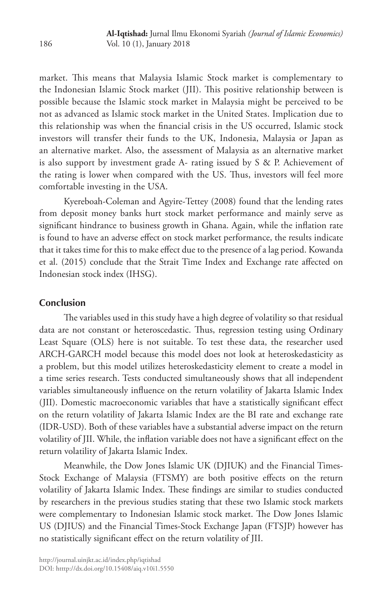market. This means that Malaysia Islamic Stock market is complementary to the Indonesian Islamic Stock market (JII). This positive relationship between is possible because the Islamic stock market in Malaysia might be perceived to be not as advanced as Islamic stock market in the United States. Implication due to this relationship was when the financial crisis in the US occurred, Islamic stock investors will transfer their funds to the UK, Indonesia, Malaysia or Japan as an alternative market. Also, the assessment of Malaysia as an alternative market is also support by investment grade A- rating issued by S & P. Achievement of the rating is lower when compared with the US. Thus, investors will feel more comfortable investing in the USA.

Kyereboah-Coleman and Agyire-Tettey (2008) found that the lending rates from deposit money banks hurt stock market performance and mainly serve as significant hindrance to business growth in Ghana. Again, while the inflation rate is found to have an adverse effect on stock market performance, the results indicate that it takes time for this to make effect due to the presence of a lag period. Kowanda et al. (2015) conclude that the Strait Time Index and Exchange rate affected on Indonesian stock index (IHSG).

# **Conclusion**

The variables used in this study have a high degree of volatility so that residual data are not constant or heteroscedastic. Thus, regression testing using Ordinary Least Square (OLS) here is not suitable. To test these data, the researcher used ARCH-GARCH model because this model does not look at heteroskedasticity as a problem, but this model utilizes heteroskedasticity element to create a model in a time series research. Tests conducted simultaneously shows that all independent variables simultaneously influence on the return volatility of Jakarta Islamic Index (JII). Domestic macroeconomic variables that have a statistically significant effect on the return volatility of Jakarta Islamic Index are the BI rate and exchange rate (IDR-USD). Both of these variables have a substantial adverse impact on the return volatility of JII. While, the inflation variable does not have a significant effect on the return volatility of Jakarta Islamic Index.

Meanwhile, the Dow Jones Islamic UK (DJIUK) and the Financial Times-Stock Exchange of Malaysia (FTSMY) are both positive effects on the return volatility of Jakarta Islamic Index. These findings are similar to studies conducted by researchers in the previous studies stating that these two Islamic stock markets were complementary to Indonesian Islamic stock market. The Dow Jones Islamic US (DJIUS) and the Financial Times-Stock Exchange Japan (FTSJP) however has no statistically significant effect on the return volatility of JII.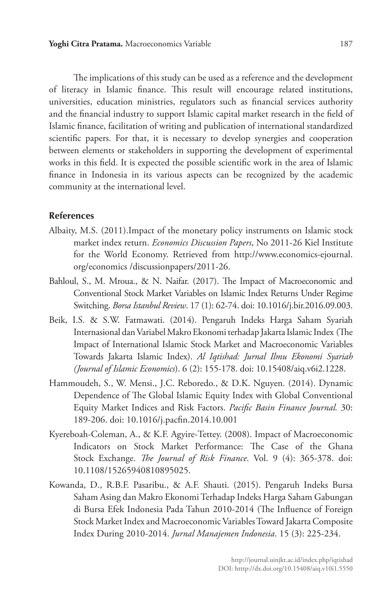The implications of this study can be used as a reference and the development of literacy in Islamic finance. This result will encourage related institutions, universities, education ministries, regulators such as financial services authority and the financial industry to support Islamic capital market research in the field of Islamic finance, facilitation of writing and publication of international standardized scientific papers. For that, it is necessary to develop synergies and cooperation between elements or stakeholders in supporting the development of experimental works in this field. It is expected the possible scientific work in the area of Islamic finance in Indonesia in its various aspects can be recognized by the academic community at the international level.

### **References**

- Albaity, M.S. (2011).Impact of the monetary policy instruments on Islamic stock market index return. *Economics Discussion Papers*, No 2011-26 Kiel Institute for the World Economy. Retrieved from http://www.economics-ejournal. org/economics /discussionpapers/2011-26.
- Bahloul, S., M. Mroua., & N. Naifar. (2017). The Impact of Macroeconomic and Conventional Stock Market Variables on Islamic Index Returns Under Regime Switching. *Borsa Istanbul Review*. 17 (1): 62-74. doi: 10.1016/j.bir.2016.09.003.
- Beik, I.S. & S.W. Fatmawati. (2014). Pengaruh Indeks Harga Saham Syariah Internasional dan Variabel Makro Ekonomi terhadap Jakarta Islamic Index (The Impact of International Islamic Stock Market and Macroeconomic Variables Towards Jakarta Islamic Index). *Al Iqtishad: Jurnal Ilmu Ekonomi Syariah (Journal of Islamic Economics*). 6 (2): 155-178. doi: 10.15408/aiq.v6i2.1228.
- Hammoudeh, S., W. Mensi., J.C. Reboredo., & D.K. Nguyen. (2014). Dynamic Dependence of The Global Islamic Equity Index with Global Conventional Equity Market Indices and Risk Factors. *Pacific Basin Finance Journal.* 30: 189-206. doi: 10.1016/j.pacfin.2014.10.001
- Kyereboah-Coleman, A., & K.F. Agyire-Tettey. (2008). Impact of Macroeconomic Indicators on Stock Market Performance: The Case of the Ghana Stock Exchange. *The Journal of Risk Finance*. Vol. 9 (4): 365-378. doi: 10.1108/15265940810895025.
- Kowanda, D., R.B.F. Pasaribu., & A.F. Shauti. (2015). Pengaruh Indeks Bursa Saham Asing dan Makro Ekonomi Terhadap Indeks Harga Saham Gabungan di Bursa Efek Indonesia Pada Tahun 2010-2014 (The Influence of Foreign Stock Market Index and Macroeconomic Variables Toward Jakarta Composite Index During 2010-2014. *Jurnal Manajemen Indonesia*. 15 (3): 225-234.